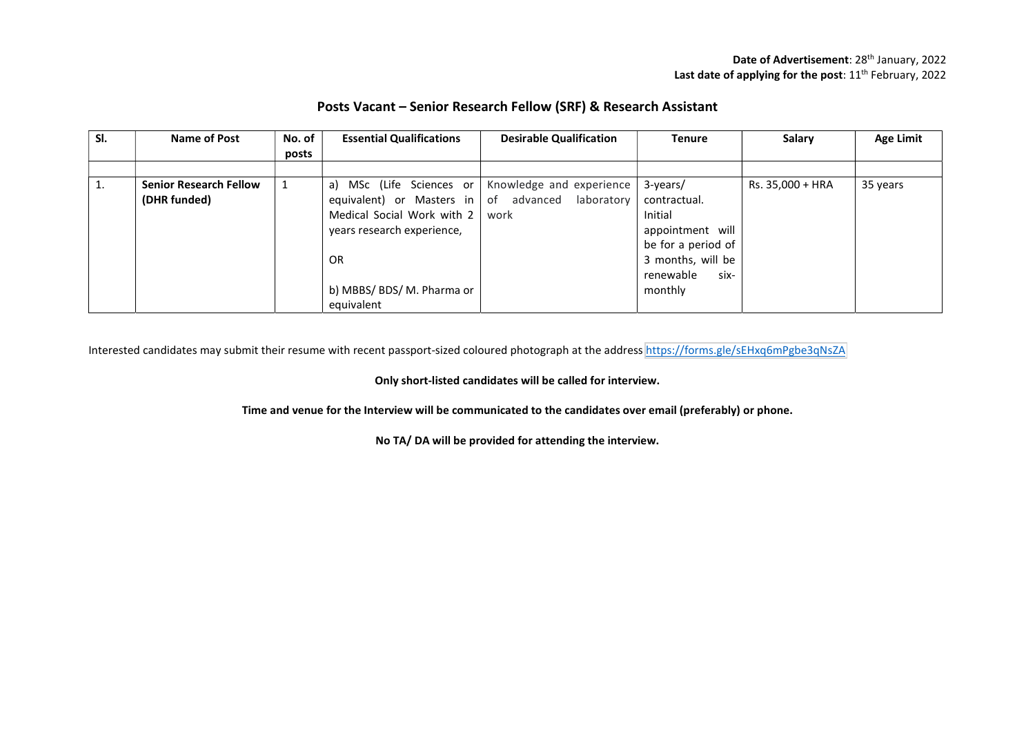## Posts Vacant – Senior Research Fellow (SRF) & Research Assistant

| SI. | Name of Post<br>No. of<br>posts               |  | <b>Essential Qualifications</b>                                                                                                                                            | <b>Desirable Qualification</b>                                | <b>Tenure</b>                                                                                                                      | Salary           | <b>Age Limit</b> |
|-----|-----------------------------------------------|--|----------------------------------------------------------------------------------------------------------------------------------------------------------------------------|---------------------------------------------------------------|------------------------------------------------------------------------------------------------------------------------------------|------------------|------------------|
|     |                                               |  |                                                                                                                                                                            |                                                               |                                                                                                                                    |                  |                  |
| 1.  | <b>Senior Research Fellow</b><br>(DHR funded) |  | a) MSc (Life Sciences or<br>equivalent) or Masters in<br>Medical Social Work with 2<br>years research experience,<br><b>OR</b><br>b) MBBS/ BDS/ M. Pharma or<br>equivalent | Knowledge and experience<br>of advanced<br>laboratory<br>work | 3-years/<br>contractual.<br>Initial<br>appointment will<br>be for a period of<br>3 months, will be<br>six-<br>renewable<br>monthly | Rs. 35,000 + HRA | 35 years         |

Interested candidates may submit their resume with recent passport-sized coloured photograph at the address<https://forms.gle/sEHxq6mPgbe3qNsZA>

Only short-listed candidates will be called for interview.

Time and venue for the Interview will be communicated to the candidates over email (preferably) or phone.

No TA/ DA will be provided for attending the interview.